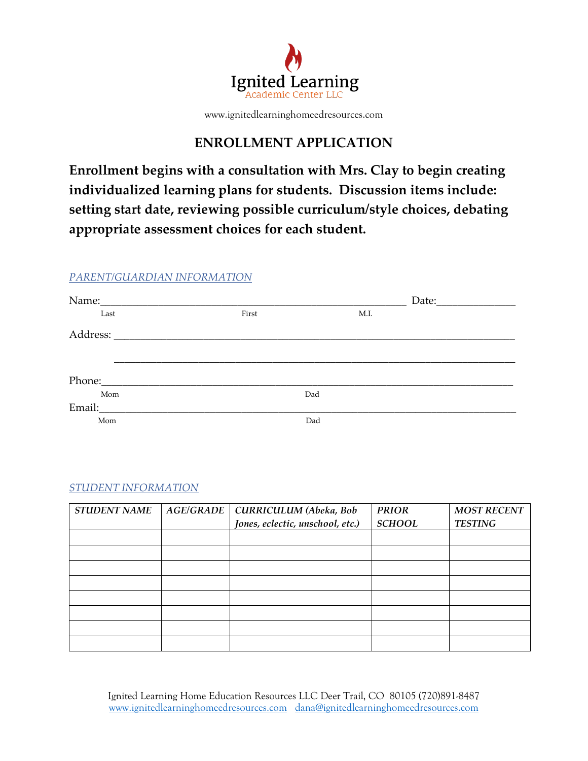

www.ignitedlearninghomeedresources.com

# **ENROLLMENT APPLICATION**

**Enrollment begins with a consultation with Mrs. Clay to begin creating individualized learning plans for students. Discussion items include: setting start date, reviewing possible curriculum/style choices, debating appropriate assessment choices for each student.**

# *PARENT/GUARDIAN INFORMATION*

| Last   | First | M.I. |  |
|--------|-------|------|--|
|        |       |      |  |
|        |       |      |  |
|        |       |      |  |
|        |       |      |  |
| Mom    |       | Dad  |  |
| Email: |       |      |  |
| Mom    |       | Dad  |  |

## *STUDENT INFORMATION*

| <b>STUDENT NAME</b> | AGE/GRADE | CURRICULUM (Abeka, Bob           | <b>PRIOR</b>  | <b>MOST RECENT</b> |
|---------------------|-----------|----------------------------------|---------------|--------------------|
|                     |           | Jones, eclectic, unschool, etc.) | <b>SCHOOL</b> | <b>TESTING</b>     |
|                     |           |                                  |               |                    |
|                     |           |                                  |               |                    |
|                     |           |                                  |               |                    |
|                     |           |                                  |               |                    |
|                     |           |                                  |               |                    |
|                     |           |                                  |               |                    |
|                     |           |                                  |               |                    |
|                     |           |                                  |               |                    |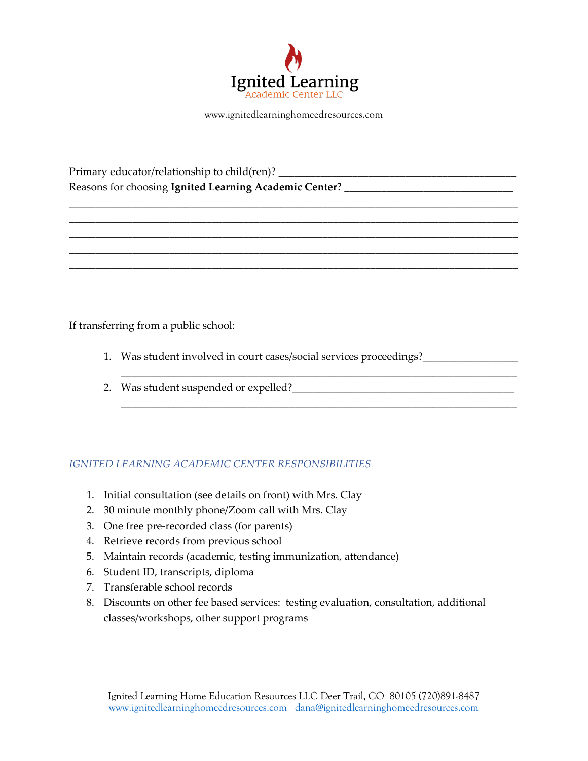

www.ignitedlearninghomeedresources.com

\_\_\_\_\_\_\_\_\_\_\_\_\_\_\_\_\_\_\_\_\_\_\_\_\_\_\_\_\_\_\_\_\_\_\_\_\_\_\_\_\_\_\_\_\_\_\_\_\_\_\_\_\_\_\_\_\_\_\_\_\_\_\_\_\_\_\_\_\_\_\_\_\_\_\_\_\_\_\_\_\_\_\_\_\_ \_\_\_\_\_\_\_\_\_\_\_\_\_\_\_\_\_\_\_\_\_\_\_\_\_\_\_\_\_\_\_\_\_\_\_\_\_\_\_\_\_\_\_\_\_\_\_\_\_\_\_\_\_\_\_\_\_\_\_\_\_\_\_\_\_\_\_\_\_\_\_\_\_\_\_\_\_\_\_\_\_\_\_\_\_ \_\_\_\_\_\_\_\_\_\_\_\_\_\_\_\_\_\_\_\_\_\_\_\_\_\_\_\_\_\_\_\_\_\_\_\_\_\_\_\_\_\_\_\_\_\_\_\_\_\_\_\_\_\_\_\_\_\_\_\_\_\_\_\_\_\_\_\_\_\_\_\_\_\_\_\_\_\_\_\_\_\_\_\_\_ \_\_\_\_\_\_\_\_\_\_\_\_\_\_\_\_\_\_\_\_\_\_\_\_\_\_\_\_\_\_\_\_\_\_\_\_\_\_\_\_\_\_\_\_\_\_\_\_\_\_\_\_\_\_\_\_\_\_\_\_\_\_\_\_\_\_\_\_\_\_\_\_\_\_\_\_\_\_\_\_\_\_\_\_\_ \_\_\_\_\_\_\_\_\_\_\_\_\_\_\_\_\_\_\_\_\_\_\_\_\_\_\_\_\_\_\_\_\_\_\_\_\_\_\_\_\_\_\_\_\_\_\_\_\_\_\_\_\_\_\_\_\_\_\_\_\_\_\_\_\_\_\_\_\_\_\_\_\_\_\_\_\_\_\_\_\_\_\_\_\_

Primary educator/relationship to child(ren)? \_\_\_\_\_\_\_\_\_\_\_\_\_\_\_\_\_\_\_\_\_\_\_\_\_\_\_\_\_\_\_\_\_\_\_\_\_\_\_\_\_\_\_\_\_ Reasons for choosing Ignited Learning Academic Center? \_\_\_\_\_\_\_\_\_\_\_\_\_\_\_\_\_\_\_\_\_\_\_\_\_\_

If transferring from a public school:

1. Was student involved in court cases/social services proceedings?

\_\_\_\_\_\_\_\_\_\_\_\_\_\_\_\_\_\_\_\_\_\_\_\_\_\_\_\_\_\_\_\_\_\_\_\_\_\_\_\_\_\_\_\_\_\_\_\_\_\_\_\_\_\_\_\_\_\_\_\_\_\_\_\_\_\_\_\_\_\_\_\_\_\_\_

\_\_\_\_\_\_\_\_\_\_\_\_\_\_\_\_\_\_\_\_\_\_\_\_\_\_\_\_\_\_\_\_\_\_\_\_\_\_\_\_\_\_\_\_\_\_\_\_\_\_\_\_\_\_\_\_\_\_\_\_\_\_\_\_\_\_\_\_\_\_\_\_\_\_\_

2. Was student suspended or expelled?<br>
<u>
</u>

# *IGNITED LEARNING ACADEMIC CENTER RESPONSIBILITIES*

- 1. Initial consultation (see details on front) with Mrs. Clay
- 2. 30 minute monthly phone/Zoom call with Mrs. Clay
- 3. One free pre-recorded class (for parents)
- 4. Retrieve records from previous school
- 5. Maintain records (academic, testing immunization, attendance)
- 6. Student ID, transcripts, diploma
- 7. Transferable school records
- 8. Discounts on other fee based services: testing evaluation, consultation, additional classes/workshops, other support programs